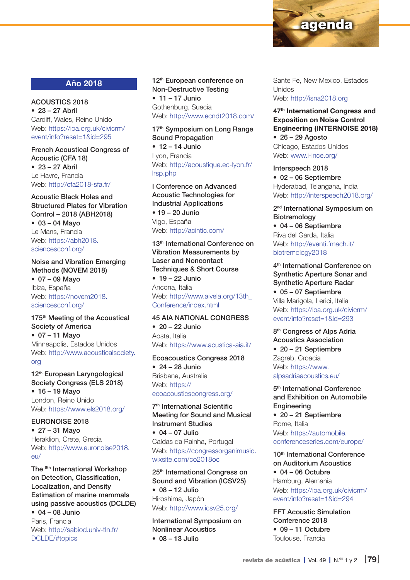

## Año 2018

ACOUSTICS 2018  $• 23 - 27$  Abril Cardiff, Wales, Reino Unido Web: [https://ioa.org.uk/civicrm/](https://ioa.org.uk/civicrm/event/info?reset=1&id=295) [event/info?reset=1&id=295](https://ioa.org.uk/civicrm/event/info?reset=1&id=295)

French Acoustical Congress of Acoustic (CFA 18) • 23 – 27 Abril Le Havre, Francia Web: http://cfa2018-sfa.fr/

Acoustic Black Holes and Structured Plates for Vibration Control – 2018 (ABH2018) • 03 – 04 Mayo Le Mans, Francia

Web: [https://abh2018.](https://abh2018.sciencesconf.org/) [sciencesconf.org/](https://abh2018.sciencesconf.org/)

Noise and Vibration Emerging Methods (NOVEM 2018) • 07 – 09 Mayo

Ibiza, España Web: [https://novem2018.](https://novem2018.sciencesconf.org/) [sciencesconf.org/](https://novem2018.sciencesconf.org/)

#### 175<sup>th</sup> Meeting of the Acoustical Society of America • 07 – 11 Mayo Minneapolis, Estados Unidos Web: http://www.acousticalsociety.

#### org

12<sup>th</sup> European Laryngological Society Congress (ELS 2018) • 16 – 19 Mayo London, Reino Unido Web: <https://www.els2018.org/>

EURONOISE 2018

• 27 – 31 Mayo Heraklion, Crete, Grecia Web: http://www.euronoise2018. eu/

The 8th International Workshop on Detection, Classification, Localization, and Density Estimation of marine mammals using passive acoustics (DCLDE)

 $• 04 - 08$  Junio Paris, Francia Web: [http://sabiod.univ-tln.fr/](http://sabiod.univ-tln.fr/DCLDE/#topics) [DCLDE/#topics](http://sabiod.univ-tln.fr/DCLDE/#topics)

12<sup>th</sup> European conference on Non-Destructive Testing • 11 – 17 Junio Gothenburg, Suecia Web: http://www.ecndt2018.com/

17<sup>th</sup> Symposium on Long Range Sound Propagation

 $\cdot$  12 – 14 Junio Lyon, Francia Web: [http://acoustique.ec-lyon.fr/](http://acoustique.ec-lyon.fr/lrsp.php) [lrsp.php](http://acoustique.ec-lyon.fr/lrsp.php)

I Conference on Advanced Acoustic Technologies for Industrial Applications • 19 – 20 Junio Vigo, España Web: http://acintic.com/

13<sup>th</sup> International Conference on Vibration Measurements by Laser and Noncontact Techniques & Short Course

• 19 – 22 Junio Ancona, Italia Web: [http://www.aivela.org/13th\\_](http://www.aivela.org/13th_Conference/index.html) [Conference/index.html](http://www.aivela.org/13th_Conference/index.html)

#### 45 AIA NATIONAL CONGRESS

 $\cdot$  20 – 22 Junio Aosta, Italia Web:<https://www.acustica-aia.it/>

#### Ecoacoustics Congress 2018

 $\bullet$  24 – 28 Junio Brisbane, Australia Web: [https://](https://ecoacousticscongress.org/) [ecoacousticscongress.org/](https://ecoacousticscongress.org/)

7th International Scientific Meeting for Sound and Musical Instrument Studies

 $• 04 - 07$  Julio Caldas da Rainha, Portugal Web: [https://congressorganimusic.](https://congressorganimusic.wixsite.com/co2018oc) [wixsite.com/co2018oc](https://congressorganimusic.wixsite.com/co2018oc)

25th International Congress on Sound and Vibration (ICSV25) • 08 – 12 Julio Hiroshima, Japón Web: http://www.icsv25.org/

International Symposium on Nonlinear Acoustics  $• 08 - 13$  Julio

Sante Fe, New Mexico, Estados Unidos Web:<http://isna2018.org>

#### 47<sup>th</sup> International Congress and Exposition on Noise Control Engineering (INTERNOISE 2018)

• 26 – 29 Agosto Chicago, Estados Unidos Web: www.i-ince.org/

Interspeech 2018 • 02 – 06 Septiembre Hyderabad, Telangana, India Web:<http://interspeech2018.org/>

2<sup>nd</sup> International Symposium on **Biotremology** • 04 – 06 Septiembre

Riva del Garda, Italia Web: http://eventi.fmach.it/ biotremology2018

4th International Conference on Synthetic Aperture Sonar and Synthetic Aperture Radar • 05 – 07 Septiembre Villa Marigola, Lerici, Italia Web: [https://ioa.org.uk/civicrm/](https://ioa.org.uk/civicrm/event/info?reset=1&id=293) [event/info?reset=1&id=293](https://ioa.org.uk/civicrm/event/info?reset=1&id=293)

8<sup>th</sup> Congress of Alps Adria Acoustics Association • 20 – 21 Septiembre Zagreb, Croacia Web: [https://www.](https://www.alpsadriaacoustics.eu/) [alpsadriaacoustics.eu/](https://www.alpsadriaacoustics.eu/)

5<sup>th</sup> International Conference and Exhibition on Automobile **Engineering** 

• 20 – 21 Septiembre Rome, Italia Web: [https://automobile.](https://automobile.conferenceseries.com/europe/) [conferenceseries.com/europe/](https://automobile.conferenceseries.com/europe/)

10<sup>th</sup> International Conference on Auditorium Acoustics  $• 04 - 06$  Octubre Hamburg, Alemania Web: [https://ioa.org.uk/civicrm/](https://ioa.org.uk/civicrm/event/info?reset=1&id=294) [event/info?reset=1&id=294](https://ioa.org.uk/civicrm/event/info?reset=1&id=294)

FFT Acoustic Simulation Conference 2018  $\bullet$  09 – 11 Octubre Toulouse, Francia